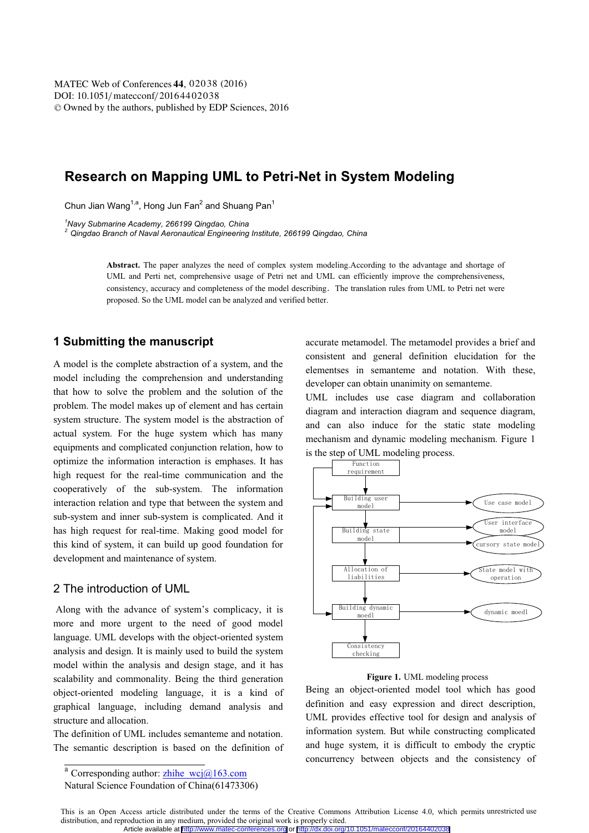# **Research on Mapping UML to Petri-Net in System Modeling**

Chun Jian Wang<sup>1,a</sup>, Hong Jun Fan<sup>2</sup> and Shuang Pan<sup>1</sup>

*1 Navy Submarine Academy, 266199 Qingdao, China* 

*<sup>2</sup> Qingdao Branch of Naval Aeronautical Engineering Institute, 266199 Qingdao, China* 

**Abstract.** The paper analyzes the need of complex system modeling.According to the advantage and shortage of UML and Perti net, comprehensive usage of Petri net and UML can efficiently improve the comprehensiveness, consistency, accuracy and completeness of the model describing. The translation rules from UML to Petri net were proposed. So the UML model can be analyzed and verified better.

## **1 Submitting the manuscript**

A model is the complete abstraction of a system, and the model including the comprehension and understanding that how to solve the problem and the solution of the problem. The model makes up of element and has certain system structure. The system model is the abstraction of actual system. For the huge system which has many equipments and complicated conjunction relation, how to optimize the information interaction is emphases. It has high request for the real-time communication and the cooperatively of the sub-system. The information interaction relation and type that between the system and sub-system and inner sub-system is complicated. And it has high request for real-time. Making good model for this kind of system, it can build up good foundation for development and maintenance of system.

## 2 The introduction of UML

 Along with the advance of system's complicacy, it is more and more urgent to the need of good model language. UML develops with the object-oriented system analysis and design. It is mainly used to build the system model within the analysis and design stage, and it has scalability and commonality. Being the third generation object-oriented modeling language, it is a kind of graphical language, including demand analysis and structure and allocation.

The definition of UML includes semanteme and notation. The semantic description is based on the definition of

Natural Science Foundation of China(61473306)

accurate metamodel. The metamodel provides a brief and consistent and general definition elucidation for the elementses in semanteme and notation. With these, developer can obtain unanimity on semanteme.

UML includes use case diagram and collaboration diagram and interaction diagram and sequence diagram, and can also induce for the static state modeling mechanism and dynamic modeling mechanism. Figure 1 is the step of UML modeling process.





Being an object-oriented model tool which has good definition and easy expression and direct description, UML provides effective tool for design and analysis of information system. But while constructing complicated and huge system, it is difficult to embody the cryptic concurrency between objects and the consistency of

This is an Open Access article distributed under the terms of the Creative Commons Attribution License 4.0, which permits unrestricted use distribution, and reproduction in any medium, provided the original work is properly cited. Article available at <http://www.matec-conferences.org> or <http://dx.doi.org/10.1051/matecconf/20164402038>

<sup>&</sup>lt;sup>a</sup> Corresponding author:  $\frac{\text{zhib}}{\text{zib}}$  wcj@163.com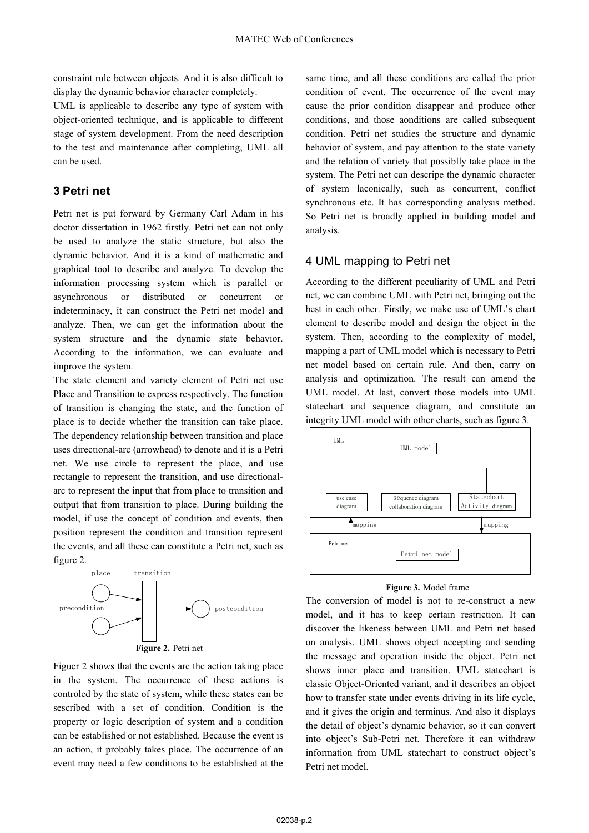constraint rule between objects. And it is also difficult to display the dynamic behavior character completely.

UML is applicable to describe any type of system with object-oriented technique, and is applicable to different stage of system development. From the need description to the test and maintenance after completing, UML all can be used.

## **3 Petri net**

Petri net is put forward by Germany Carl Adam in his doctor dissertation in 1962 firstly. Petri net can not only be used to analyze the static structure, but also the dynamic behavior. And it is a kind of mathematic and graphical tool to describe and analyze. To develop the information processing system which is parallel or asynchronous or distributed or concurrent or indeterminacy, it can construct the Petri net model and analyze. Then, we can get the information about the system structure and the dynamic state behavior. According to the information, we can evaluate and improve the system.

The state element and variety element of Petri net use Place and Transition to express respectively. The function of transition is changing the state, and the function of place is to decide whether the transition can take place. The dependency relationship between transition and place uses directional-arc (arrowhead) to denote and it is a Petri net. We use circle to represent the place, and use rectangle to represent the transition, and use directionalarc to represent the input that from place to transition and output that from transition to place. During building the model, if use the concept of condition and events, then position represent the condition and transition represent the events, and all these can constitute a Petri net, such as figure 2.



Figuer 2 shows that the events are the action taking place in the system. The occurrence of these actions is controled by the state of system, while these states can be sescribed with a set of condition. Condition is the property or logic description of system and a condition can be established or not established. Because the event is an action, it probably takes place. The occurrence of an event may need a few conditions to be established at the

same time, and all these conditions are called the prior condition of event. The occurrence of the event may cause the prior condition disappear and produce other conditions, and those aonditions are called subsequent condition. Petri net studies the structure and dynamic behavior of system, and pay attention to the state variety and the relation of variety that possiblly take place in the system. The Petri net can descripe the dynamic character of system laconically, such as concurrent, conflict synchronous etc. It has corresponding analysis method. So Petri net is broadly applied in building model and analysis.

## 4 UML mapping to Petri net

According to the different peculiarity of UML and Petri net, we can combine UML with Petri net, bringing out the best in each other. Firstly, we make use of UML's chart element to describe model and design the object in the system. Then, according to the complexity of model, mapping a part of UML model which is necessary to Petri net model based on certain rule. And then, carry on analysis and optimization. The result can amend the UML model. At last, convert those models into UML statechart and sequence diagram, and constitute an integrity UML model with other charts, such as figure 3.



#### **Figure 3.** Model frame

The conversion of model is not to re-construct a new model, and it has to keep certain restriction. It can discover the likeness between UML and Petri net based on analysis. UML shows object accepting and sending the message and operation inside the object. Petri net shows inner place and transition. UML statechart is classic Object-Oriented variant, and it describes an object how to transfer state under events driving in its life cycle, and it gives the origin and terminus. And also it displays the detail of object's dynamic behavior, so it can convert into object's Sub-Petri net. Therefore it can withdraw information from UML statechart to construct object's Petri net model.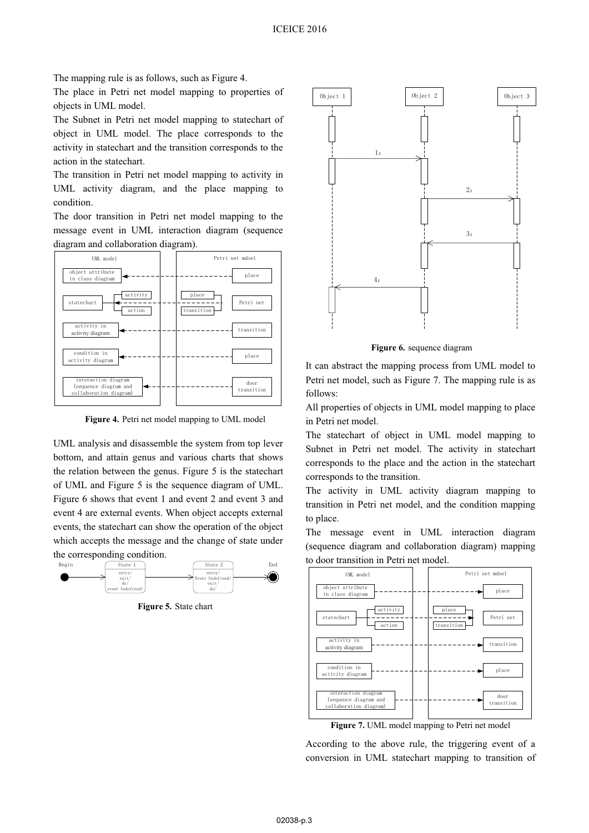The mapping rule is as follows, such as Figure 4.

The place in Petri net model mapping to properties of objects in UML model.

The Subnet in Petri net model mapping to statechart of object in UML model. The place corresponds to the activity in statechart and the transition corresponds to the action in the statechart.

The transition in Petri net model mapping to activity in UML activity diagram, and the place mapping to condition.

The door transition in Petri net model mapping to the message event in UML interaction diagram (sequence diagram and collaboration diagram).



**Figure 4.** Petri net model mapping to UML model

UML analysis and disassemble the system from top lever bottom, and attain genus and various charts that shows the relation between the genus. Figure 5 is the statechart of UML and Figure 5 is the sequence diagram of UML. Figure 6 shows that event 1 and event 2 and event 3 and event 4 are external events. When object accepts external events, the statechart can show the operation of the object which accepts the message and the change of state under the corresponding condition.



**Figure 5.** State chart



**Figure 6.** sequence diagram

It can abstract the mapping process from UML model to Petri net model, such as Figure 7. The mapping rule is as follows:

All properties of objects in UML model mapping to place in Petri net model.

The statechart of object in UML model mapping to Subnet in Petri net model. The activity in statechart corresponds to the place and the action in the statechart corresponds to the transition.

The activity in UML activity diagram mapping to transition in Petri net model, and the condition mapping to place.

The message event in UML interaction diagram (sequence diagram and collaboration diagram) mapping to door transition in Petri net model.



Figure 7. UML model mapping to Petri net model

According to the above rule, the triggering event of a conversion in UML statechart mapping to transition of